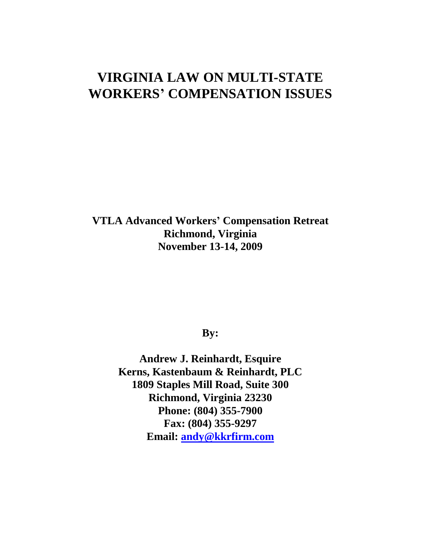# **VIRGINIA LAW ON MULTI-STATE WORKERS' COMPENSATION ISSUES**

**VTLA Advanced Workers' Compensation Retreat Richmond, Virginia November 13-14, 2009**

# **By:**

**Andrew J. Reinhardt, Esquire Kerns, Kastenbaum & Reinhardt, PLC 1809 Staples Mill Road, Suite 300 Richmond, Virginia 23230 Phone: (804) 355-7900 Fax: (804) 355-9297 Email: [andy@kkrfirm.com](mailto:andy@kkrfirm.com)**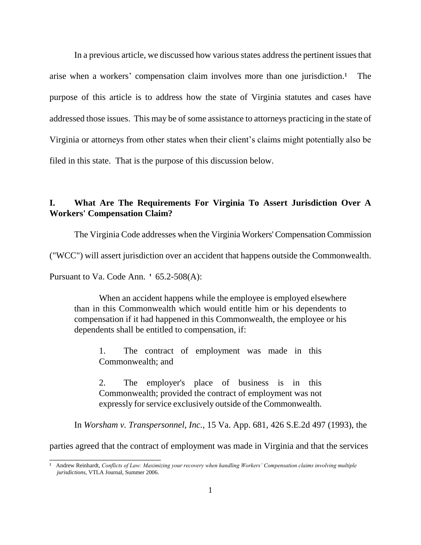In a previous article, we discussed how various states address the pertinent issues that arise when a workers' compensation claim involves more than one jurisdiction.<sup>1</sup> The purpose of this article is to address how the state of Virginia statutes and cases have addressed those issues. This may be of some assistance to attorneys practicing in the state of Virginia or attorneys from other states when their client's claims might potentially also be filed in this state. That is the purpose of this discussion below.

### **I. What Are The Requirements For Virginia To Assert Jurisdiction Over A Workers' Compensation Claim?**

The Virginia Code addresses when the Virginia Workers' Compensation Commission

("WCC") will assert jurisdiction over an accident that happens outside the Commonwealth.

Pursuant to Va. Code Ann. ' 65.2-508(A):

\_\_\_\_\_\_\_\_\_\_\_\_\_\_\_\_\_\_\_\_\_\_\_\_\_

When an accident happens while the employee is employed elsewhere than in this Commonwealth which would entitle him or his dependents to compensation if it had happened in this Commonwealth, the employee or his dependents shall be entitled to compensation, if:

1. The contract of employment was made in this Commonwealth; and

2. The employer's place of business is in this Commonwealth; provided the contract of employment was not expressly for service exclusively outside of the Commonwealth.

In *Worsham v. Transpersonnel, Inc.*, 15 Va. App. 681, 426 S.E.2d 497 (1993), the

parties agreed that the contract of employment was made in Virginia and that the services

<sup>&</sup>lt;sup>1</sup> Andrew Reinhardt, *Conflicts of Law: Maximizing your recovery when handling Workers' Compensation claims involving multiple jurisdictions*, VTLA Journal, Summer 2006.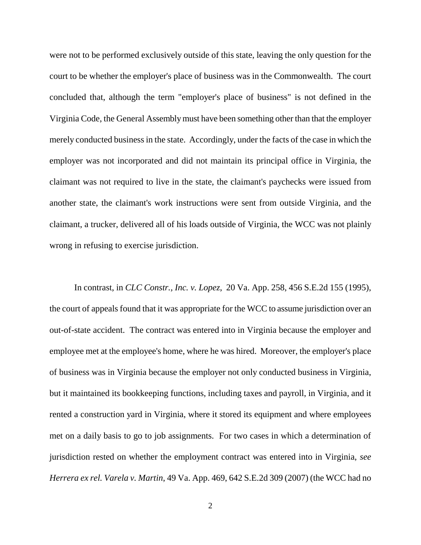were not to be performed exclusively outside of this state, leaving the only question for the court to be whether the employer's place of business was in the Commonwealth. The court concluded that, although the term "employer's place of business" is not defined in the Virginia Code, the General Assembly must have been something other than that the employer merely conducted business in the state. Accordingly, under the facts of the case in which the employer was not incorporated and did not maintain its principal office in Virginia, the claimant was not required to live in the state, the claimant's paychecks were issued from another state, the claimant's work instructions were sent from outside Virginia, and the claimant, a trucker, delivered all of his loads outside of Virginia, the WCC was not plainly wrong in refusing to exercise jurisdiction.

In contrast, in *CLC Constr., Inc. v. Lopez*, 20 Va. App. 258, 456 S.E.2d 155 (1995), the court of appeals found that it was appropriate for the WCC to assume jurisdiction over an out-of-state accident. The contract was entered into in Virginia because the employer and employee met at the employee's home, where he was hired. Moreover, the employer's place of business was in Virginia because the employer not only conducted business in Virginia, but it maintained its bookkeeping functions, including taxes and payroll, in Virginia, and it rented a construction yard in Virginia, where it stored its equipment and where employees met on a daily basis to go to job assignments. For two cases in which a determination of jurisdiction rested on whether the employment contract was entered into in Virginia, *see Herrera ex rel. Varela v. Martin*, 49 Va. App. 469, 642 S.E.2d 309 (2007) (the WCC had no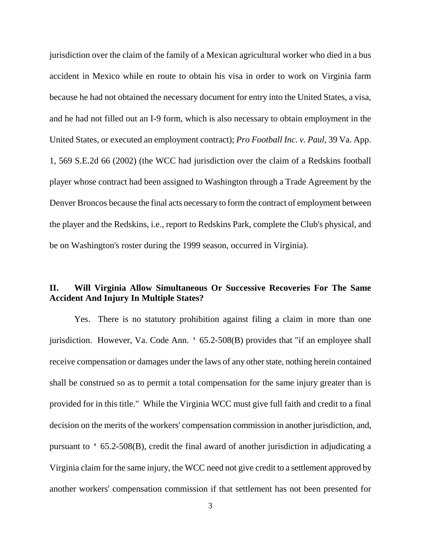jurisdiction over the claim of the family of a Mexican agricultural worker who died in a bus accident in Mexico while en route to obtain his visa in order to work on Virginia farm because he had not obtained the necessary document for entry into the United States, a visa, and he had not filled out an I-9 form, which is also necessary to obtain employment in the United States, or executed an employment contract); *Pro Football Inc. v. Paul*, 39 Va. App. 1, 569 S.E.2d 66 (2002) (the WCC had jurisdiction over the claim of a Redskins football player whose contract had been assigned to Washington through a Trade Agreement by the Denver Broncos because the final acts necessary to form the contract of employment between the player and the Redskins, i.e., report to Redskins Park, complete the Club's physical, and be on Washington's roster during the 1999 season, occurred in Virginia).

# **II. Will Virginia Allow Simultaneous Or Successive Recoveries For The Same Accident And Injury In Multiple States?**

Yes. There is no statutory prohibition against filing a claim in more than one jurisdiction. However, Va. Code Ann. ' 65.2-508(B) provides that "if an employee shall receive compensation or damages under the laws of any other state, nothing herein contained shall be construed so as to permit a total compensation for the same injury greater than is provided for in this title." While the Virginia WCC must give full faith and credit to a final decision on the merits of the workers' compensation commission in another jurisdiction, and, pursuant to ' 65.2-508(B), credit the final award of another jurisdiction in adjudicating a Virginia claim for the same injury, the WCC need not give credit to a settlement approved by another workers' compensation commission if that settlement has not been presented for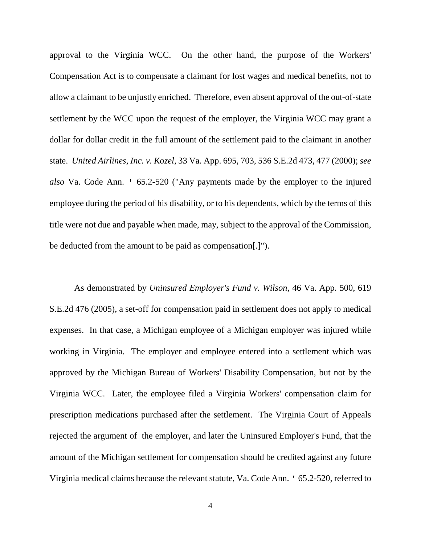approval to the Virginia WCC. On the other hand, the purpose of the Workers' Compensation Act is to compensate a claimant for lost wages and medical benefits, not to allow a claimant to be unjustly enriched. Therefore, even absent approval of the out-of-state settlement by the WCC upon the request of the employer, the Virginia WCC may grant a dollar for dollar credit in the full amount of the settlement paid to the claimant in another state. *United Airlines, Inc. v. Kozel*, 33 Va. App. 695, 703, 536 S.E.2d 473, 477 (2000); *see also* Va. Code Ann. ' 65.2-520 ("Any payments made by the employer to the injured employee during the period of his disability, or to his dependents, which by the terms of this title were not due and payable when made, may, subject to the approval of the Commission, be deducted from the amount to be paid as compensation[.]").

As demonstrated by *Uninsured Employer's Fund v. Wilson*, 46 Va. App. 500, 619 S.E.2d 476 (2005), a set-off for compensation paid in settlement does not apply to medical expenses. In that case, a Michigan employee of a Michigan employer was injured while working in Virginia. The employer and employee entered into a settlement which was approved by the Michigan Bureau of Workers' Disability Compensation, but not by the Virginia WCC. Later, the employee filed a Virginia Workers' compensation claim for prescription medications purchased after the settlement. The Virginia Court of Appeals rejected the argument of the employer, and later the Uninsured Employer's Fund, that the amount of the Michigan settlement for compensation should be credited against any future Virginia medical claims because the relevant statute, Va. Code Ann. ' 65.2-520, referred to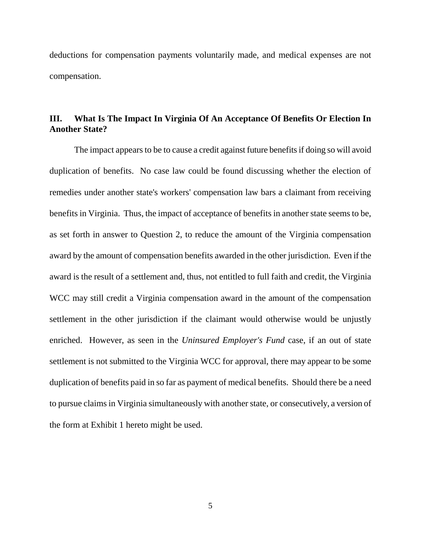deductions for compensation payments voluntarily made, and medical expenses are not compensation.

## **III. What Is The Impact In Virginia Of An Acceptance Of Benefits Or Election In Another State?**

The impact appears to be to cause a credit against future benefits if doing so will avoid duplication of benefits. No case law could be found discussing whether the election of remedies under another state's workers' compensation law bars a claimant from receiving benefits in Virginia. Thus, the impact of acceptance of benefits in another state seems to be, as set forth in answer to Question 2, to reduce the amount of the Virginia compensation award by the amount of compensation benefits awarded in the other jurisdiction. Even if the award is the result of a settlement and, thus, not entitled to full faith and credit, the Virginia WCC may still credit a Virginia compensation award in the amount of the compensation settlement in the other jurisdiction if the claimant would otherwise would be unjustly enriched. However, as seen in the *Uninsured Employer's Fund* case, if an out of state settlement is not submitted to the Virginia WCC for approval, there may appear to be some duplication of benefits paid in so far as payment of medical benefits. Should there be a need to pursue claims in Virginia simultaneously with another state, or consecutively, a version of the form at Exhibit 1 hereto might be used.